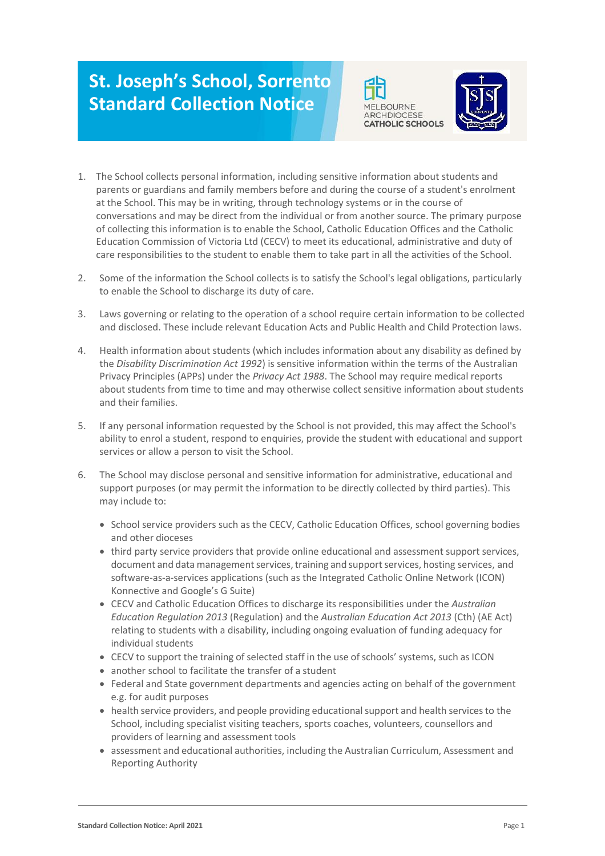## **St. Joseph's School, Sorrento Standard Collection Notice**





- 1. The School collects personal information, including sensitive information about students and parents or guardians and family members before and during the course of a student's enrolment at the School. This may be in writing, through technology systems or in the course of conversations and may be direct from the individual or from another source. The primary purpose of collecting this information is to enable the School, Catholic Education Offices and the Catholic Education Commission of Victoria Ltd (CECV) to meet its educational, administrative and duty of care responsibilities to the student to enable them to take part in all the activities of the School.
- 2. Some of the information the School collects is to satisfy the School's legal obligations, particularly to enable the School to discharge its duty of care.
- 3. Laws governing or relating to the operation of a school require certain information to be collected and disclosed. These include relevant Education Acts and Public Health and Child Protection laws.
- 4. Health information about students (which includes information about any disability as defined by the *Disability Discrimination Act 1992*) is sensitive information within the terms of the Australian Privacy Principles (APPs) under the *Privacy Act 1988*. The School may require medical reports about students from time to time and may otherwise collect sensitive information about students and their families.
- 5. If any personal information requested by the School is not provided, this may affect the School's ability to enrol a student, respond to enquiries, provide the student with educational and support services or allow a person to visit the School.
- 6. The School may disclose personal and sensitive information for administrative, educational and support purposes (or may permit the information to be directly collected by third parties). This may include to:
	- School service providers such as the CECV, Catholic Education Offices, school governing bodies and other dioceses
	- third party service providers that provide online educational and assessment support services, document and data management services, training and support services, hosting services, and software-as-a-services applications (such as the Integrated Catholic Online Network (ICON) Konnective and Google's G Suite)
	- CECV and Catholic Education Offices to discharge its responsibilities under the *Australian Education Regulation 2013* (Regulation) and the *Australian Education Act 2013* (Cth) (AE Act) relating to students with a disability, including ongoing evaluation of funding adequacy for individual students
	- CECV to support the training of selected staff in the use of schools' systems, such as ICON
	- another school to facilitate the transfer of a student
	- Federal and State government departments and agencies acting on behalf of the government e.g. for audit purposes
	- health service providers, and people providing educational support and health services to the School, including specialist visiting teachers, sports coaches, volunteers, counsellors and providers of learning and assessment tools
	- assessment and educational authorities, including the Australian Curriculum, Assessment and Reporting Authority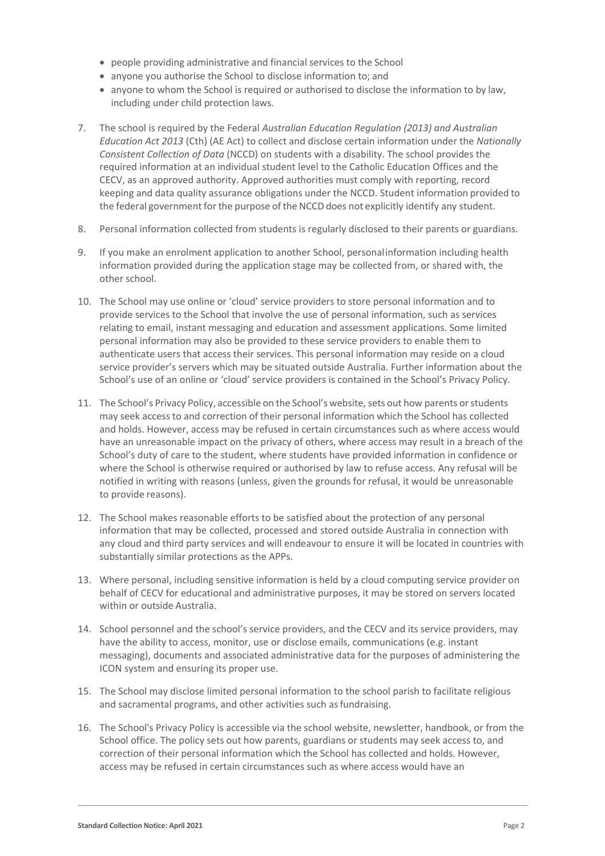- people providing administrative and financial services to the School
- anyone you authorise the School to disclose information to; and
- anyone to whom the School is required or authorised to disclose the information to by law, including under child protection laws.
- 7. The school is required by the Federal *Australian Education Regulation (2013) and Australian Education Act 2013* (Cth) (AE Act) to collect and disclose certain information under the *Nationally Consistent Collection of Data* (NCCD) on students with a disability. The school provides the required information at an individual student level to the Catholic Education Offices and the CECV, as an approved authority. Approved authorities must comply with reporting, record keeping and data quality assurance obligations under the NCCD. Student information provided to the federal government for the purpose of the NCCD does not explicitly identify any student.
- 8. Personal information collected from students is regularly disclosed to their parents or guardians.
- 9. If you make an enrolment application to another School, personalinformation including health information provided during the application stage may be collected from, or shared with, the other school.
- 10. The School may use online or 'cloud' service providers to store personal information and to provide services to the School that involve the use of personal information, such as services relating to email, instant messaging and education and assessment applications. Some limited personal information may also be provided to these service providers to enable them to authenticate users that access their services. This personal information may reside on a cloud service provider's servers which may be situated outside Australia. Further information about the School's use of an online or 'cloud' service providers is contained in the School's Privacy Policy.
- 11. The School's Privacy Policy, accessible on the School's website, sets out how parents or students may seek access to and correction of their personal information which the School has collected and holds. However, access may be refused in certain circumstances such as where access would have an unreasonable impact on the privacy of others, where access may result in a breach of the School's duty of care to the student, where students have provided information in confidence or where the School is otherwise required or authorised by law to refuse access. Any refusal will be notified in writing with reasons (unless, given the grounds for refusal, it would be unreasonable to provide reasons).
- 12. The School makes reasonable efforts to be satisfied about the protection of any personal information that may be collected, processed and stored outside Australia in connection with any cloud and third party services and will endeavour to ensure it will be located in countries with substantially similar protections as the APPs.
- 13. Where personal, including sensitive information is held by a cloud computing service provider on behalf of CECV for educational and administrative purposes, it may be stored on servers located within or outside Australia.
- 14. School personnel and the school's service providers, and the CECV and its service providers, may have the ability to access, monitor, use or disclose emails, communications (e.g. instant messaging), documents and associated administrative data for the purposes of administering the ICON system and ensuring its proper use.
- 15. The School may disclose limited personal information to the school parish to facilitate religious and sacramental programs, and other activities such as fundraising.
- 16. The School's Privacy Policy is accessible via the school website, newsletter, handbook, or from the School office. The policy sets out how parents, guardians or students may seek access to, and correction of their personal information which the School has collected and holds. However, access may be refused in certain circumstances such as where access would have an